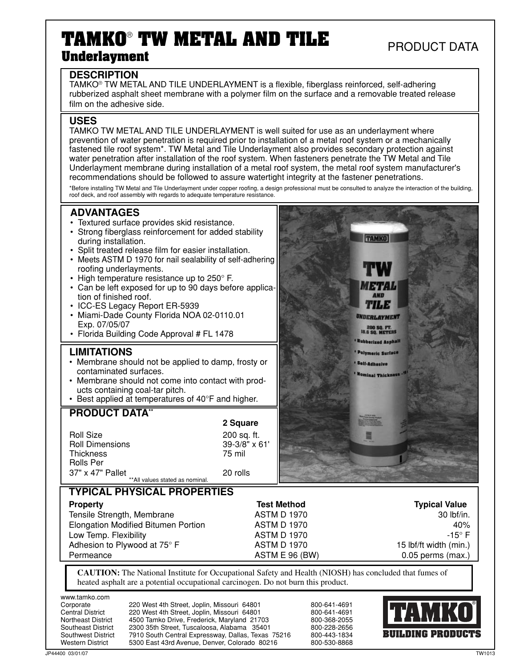# **TAMKO**®  **TW METAL AND TILE Underlayment**

# PRODUCT DATA

#### **DESCRIPTION**

TAMKO® TW METAL AND TILE UNDERLAYMENT is a flexible, fiberglass reinforced, self-adhering rubberized asphalt sheet membrane with a polymer film on the surface and a removable treated release film on the adhesive side.

#### **USES**

TAMKO TW METAL AND TILE UNDERLAYMENT is well suited for use as an underlayment where prevention of water penetration is required prior to installation of a metal roof system or a mechanically fastened tile roof system\*. TW Metal and Tile Underlayment also provides secondary protection against water penetration after installation of the roof system. When fasteners penetrate the TW Metal and Tile Underlayment membrane during installation of a metal roof system, the metal roof system manufacturer's recommendations should be followed to assure watertight integrity at the fastener penetrations.

\*Before installing TW Metal and Tile Underlayment under copper roofing, a design professional must be consulted to analyze the interaction of the building, roof deck, and roof assembly with regards to adequate temperature resistance.

### **ADVANTAGES**

- Textured surface provides skid resistance.
- Strong fiberglass reinforcement for added stability during installation.
- Split treated release film for easier installation.
- Meets ASTM D 1970 for nail sealability of self-adhering roofing underlayments.
- High temperature resistance up to 250° F.
- Can be left exposed for up to 90 days before application of finished roof.
- ICC-ES Legacy Report ER-5939
- Miami-Dade County Florida NOA 02-0110.01 Exp. 07/05/07
- Florida Building Code Approval # FL 1478

#### **LIMITATIONS**

- Membrane should not be applied to damp, frosty or contaminated surfaces.
- Membrane should not come into contact with products containing coal-tar pitch.
- Best applied at temperatures of 40°F and higher.

#### **PRODUCT DATA\*\***

\*\*All values stated as nominal. **2 Square** Roll Size 200 sq. ft.<br>
Roll Dimensions 1 29-3/8" x 61' Roll Dimensions 39-3/8<br>Thickness 39-3/8 Thickness Rolls Per 37" x 47" Pallet 20 rolls

# **TAMKO** iyi A a **NDERLAYMENT 10 SQ. FT.<br>SQ. METERS** ubbarized Asphall Polymeric Surfac elf-Adhesive minal Thickne

# **TYPICAL PHYSICAL PROPERTIES**

| <b>Property</b>                            | <b>Test Method</b> | <b>Typical Value</b>   |
|--------------------------------------------|--------------------|------------------------|
| Tensile Strength, Membrane                 | <b>ASTM D 1970</b> | $30$ lbf/in.           |
| <b>Elongation Modified Bitumen Portion</b> | ASTM D 1970        | 40%                    |
| Low Temp. Flexibility                      | <b>ASTM D 1970</b> | -15° F.                |
| Adhesion to Plywood at 75° F               | ASTM D 1970        | 15 lbf/ft width (min.) |
| Permeance                                  | ASTM E 96 (BW)     | $0.05$ perms (max.)    |

**CAUTION:** The National Institute for Occupational Safety and Health (NIOSH) has concluded that fumes of heated asphalt are a potential occupational carcinogen. Do not burn this product.

> Corporate 220 West 4th Street, Joplin, Missouri 64801 800-641-4691 800-641-4691 800 - 368 - 2055 800-228-2656 800-443-1834 Western District 5300 East 43rd Avenue, Denver, Colorado 80216 800-530-8868

| www.tamko.com             |                                                    |
|---------------------------|----------------------------------------------------|
| Corporate                 | 220 West 4th Street, Joplin, Missouri 64801        |
| <b>Central District</b>   | 220 West 4th Street, Joplin, Missouri 64801        |
| <b>Northeast District</b> | 4500 Tamko Drive, Frederick, Maryland 21703        |
| <b>Southeast District</b> | 2300 35th Street. Tuscaloosa. Alabama 35401        |
| <b>Southwest District</b> | 7910 South Central Expressway, Dallas, Texas 75216 |
| Western District          | 5300 Fast 43rd Avenue, Denver, Colorado, 80216     |

**BUILDING PRODUCTS**